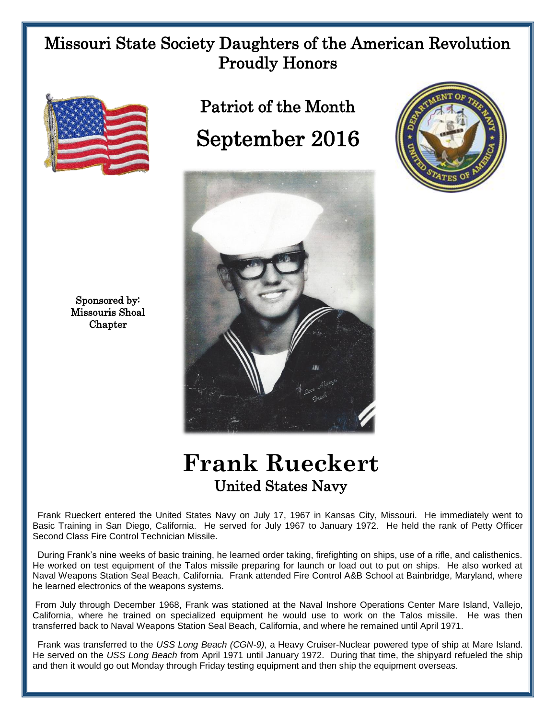## Missouri State Society Daughters of the American Revolution Proudly Honors



Patriot of the Month September 2016







## **Frank Rueckert** United States Navy

 Frank Rueckert entered the United States Navy on July 17, 1967 in Kansas City, Missouri. He immediately went to Basic Training in San Diego, California. He served for July 1967 to January 1972. He held the rank of Petty Officer Second Class Fire Control Technician Missile.

 During Frank's nine weeks of basic training, he learned order taking, firefighting on ships, use of a rifle, and calisthenics. He worked on test equipment of the Talos missile preparing for launch or load out to put on ships. He also worked at Naval Weapons Station Seal Beach, California. Frank attended Fire Control A&B School at Bainbridge, Maryland, where he learned electronics of the weapons systems.

From July through December 1968, Frank was stationed at the Naval Inshore Operations Center Mare Island, Vallejo, California, where he trained on specialized equipment he would use to work on the Talos missile. He was then transferred back to Naval Weapons Station Seal Beach, California, and where he remained until April 1971.

 Frank was transferred to the *USS Long Beach (CGN-9)*, a Heavy Cruiser-Nuclear powered type of ship at Mare Island. He served on the *USS Long Beach* from April 1971 until January 1972. During that time, the shipyard refueled the ship and then it would go out Monday through Friday testing equipment and then ship the equipment overseas.